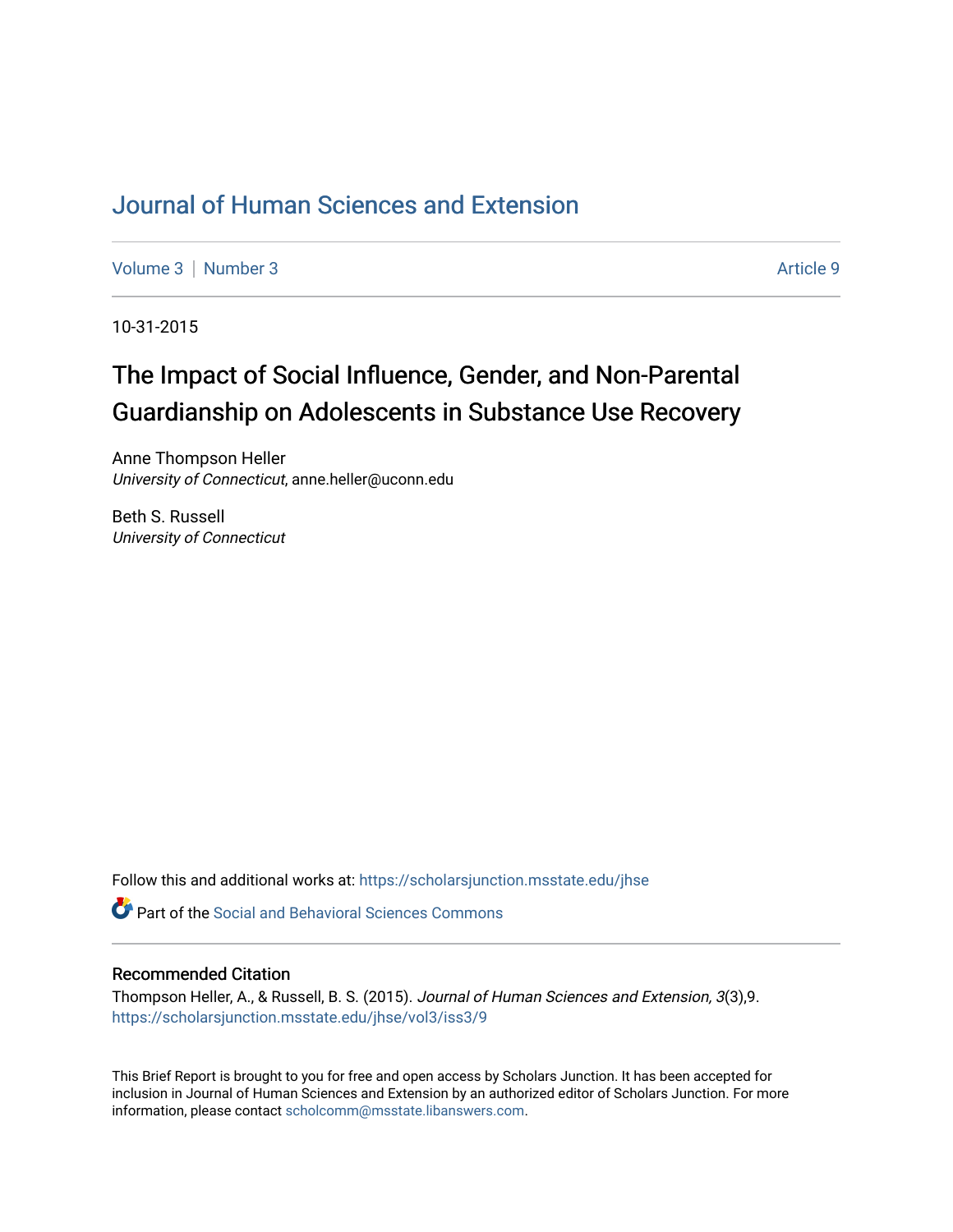## [Journal of Human Sciences and Extension](https://scholarsjunction.msstate.edu/jhse)

[Volume 3](https://scholarsjunction.msstate.edu/jhse/vol3) | [Number 3](https://scholarsjunction.msstate.edu/jhse/vol3/iss3) Article 9

10-31-2015

# The Impact of Social Influence, Gender, and Non-Parental Guardianship on Adolescents in Substance Use Recovery

Anne Thompson Heller University of Connecticut, anne.heller@uconn.edu

Beth S. Russell University of Connecticut

Follow this and additional works at: [https://scholarsjunction.msstate.edu/jhse](https://scholarsjunction.msstate.edu/jhse?utm_source=scholarsjunction.msstate.edu%2Fjhse%2Fvol3%2Fiss3%2F9&utm_medium=PDF&utm_campaign=PDFCoverPages)

**C** Part of the Social and Behavioral Sciences Commons

#### Recommended Citation

Thompson Heller, A., & Russell, B. S. (2015). Journal of Human Sciences and Extension, 3(3),9. [https://scholarsjunction.msstate.edu/jhse/vol3/iss3/9](https://scholarsjunction.msstate.edu/jhse/vol3/iss3/9?utm_source=scholarsjunction.msstate.edu%2Fjhse%2Fvol3%2Fiss3%2F9&utm_medium=PDF&utm_campaign=PDFCoverPages)

This Brief Report is brought to you for free and open access by Scholars Junction. It has been accepted for inclusion in Journal of Human Sciences and Extension by an authorized editor of Scholars Junction. For more information, please contact [scholcomm@msstate.libanswers.com](mailto:scholcomm@msstate.libanswers.com).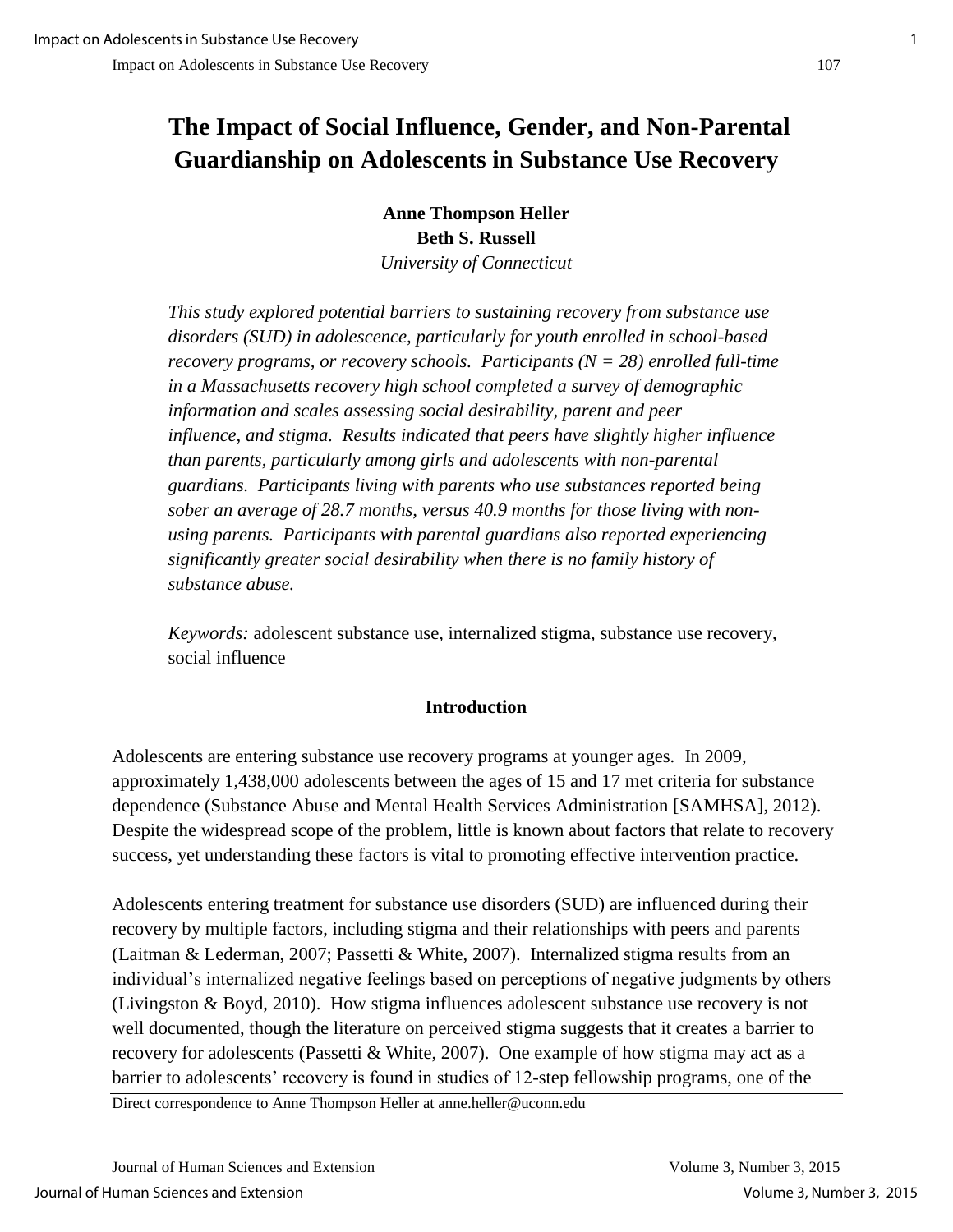# **The Impact of Social Influence, Gender, and Non-Parental Guardianship on Adolescents in Substance Use Recovery**

**Anne Thompson Heller Beth S. Russell**  *University of Connecticut* 

*This study explored potential barriers to sustaining recovery from substance use disorders (SUD) in adolescence, particularly for youth enrolled in school-based recovery programs, or recovery schools. Participants (N = 28) enrolled full-time in a Massachusetts recovery high school completed a survey of demographic information and scales assessing social desirability, parent and peer influence, and stigma. Results indicated that peers have slightly higher influence than parents, particularly among girls and adolescents with non-parental guardians. Participants living with parents who use substances reported being sober an average of 28.7 months, versus 40.9 months for those living with nonusing parents. Participants with parental guardians also reported experiencing significantly greater social desirability when there is no family history of substance abuse.* 

*Keywords:* adolescent substance use, internalized stigma, substance use recovery, social influence

## **Introduction**

Adolescents are entering substance use recovery programs at younger ages. In 2009, approximately 1,438,000 adolescents between the ages of 15 and 17 met criteria for substance dependence (Substance Abuse and Mental Health Services Administration [SAMHSA], 2012). Despite the widespread scope of the problem, little is known about factors that relate to recovery success, yet understanding these factors is vital to promoting effective intervention practice.

Adolescents entering treatment for substance use disorders (SUD) are influenced during their recovery by multiple factors, including stigma and their relationships with peers and parents (Laitman & Lederman, 2007; Passetti & White, 2007). Internalized stigma results from an individual's internalized negative feelings based on perceptions of negative judgments by others (Livingston & Boyd, 2010). How stigma influences adolescent substance use recovery is not well documented, though the literature on perceived stigma suggests that it creates a barrier to recovery for adolescents (Passetti & White, 2007). One example of how stigma may act as a barrier to adolescents' recovery is found in studies of 12-step fellowship programs, one of the

Direct correspondence to Anne Thompson Heller at anne.heller@uconn.edu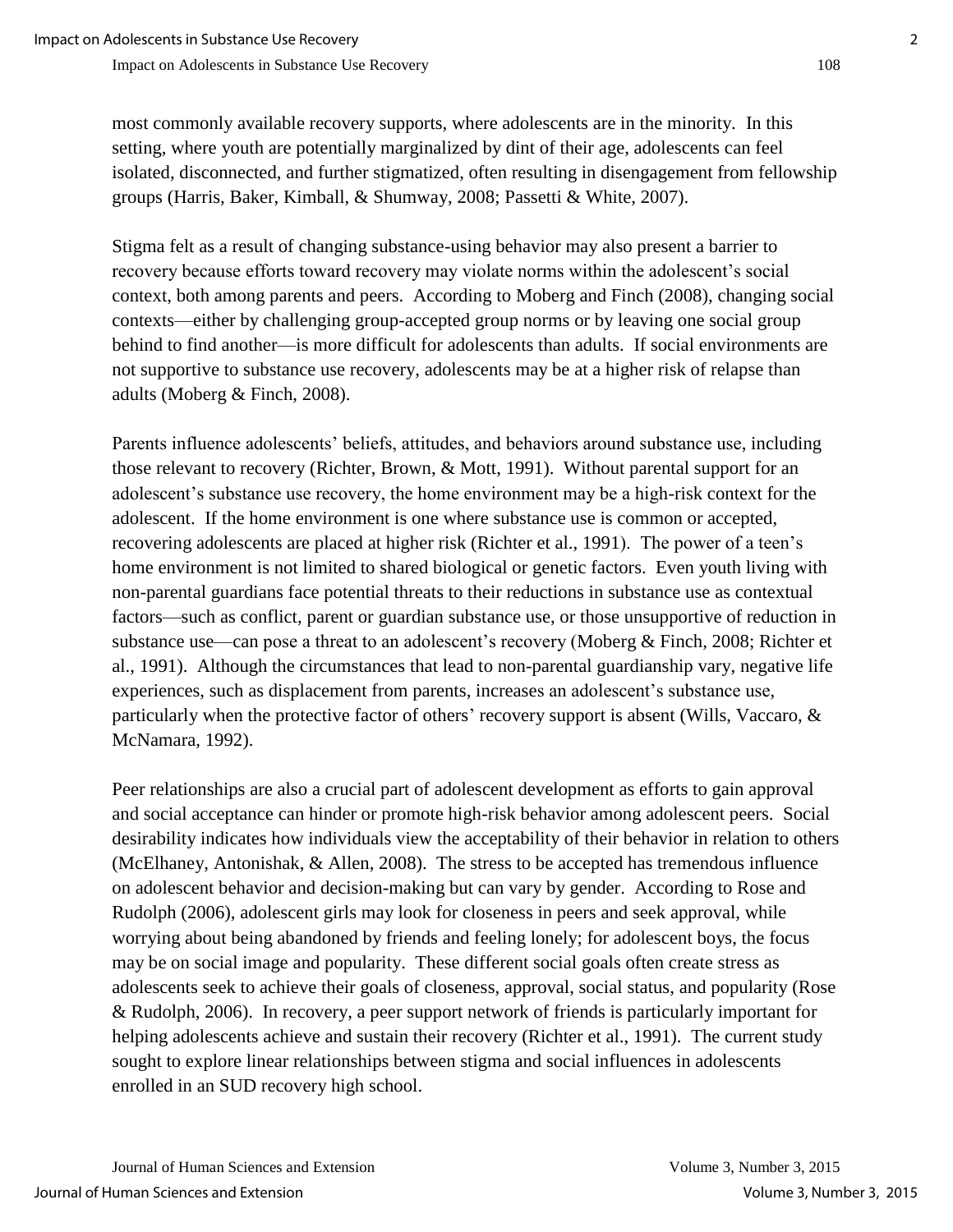most commonly available recovery supports, where adolescents are in the minority. In this setting, where youth are potentially marginalized by dint of their age, adolescents can feel isolated, disconnected, and further stigmatized, often resulting in disengagement from fellowship groups (Harris, Baker, Kimball, & Shumway, 2008; Passetti & White, 2007).

Stigma felt as a result of changing substance-using behavior may also present a barrier to recovery because efforts toward recovery may violate norms within the adolescent's social context, both among parents and peers. According to Moberg and Finch (2008), changing social contexts—either by challenging group-accepted group norms or by leaving one social group behind to find another—is more difficult for adolescents than adults. If social environments are not supportive to substance use recovery, adolescents may be at a higher risk of relapse than adults (Moberg & Finch, 2008).

Parents influence adolescents' beliefs, attitudes, and behaviors around substance use, including those relevant to recovery (Richter, Brown, & Mott, 1991). Without parental support for an adolescent's substance use recovery, the home environment may be a high-risk context for the adolescent. If the home environment is one where substance use is common or accepted, recovering adolescents are placed at higher risk (Richter et al., 1991). The power of a teen's home environment is not limited to shared biological or genetic factors. Even youth living with non-parental guardians face potential threats to their reductions in substance use as contextual factors—such as conflict, parent or guardian substance use, or those unsupportive of reduction in substance use—can pose a threat to an adolescent's recovery (Moberg & Finch, 2008; Richter et al., 1991). Although the circumstances that lead to non-parental guardianship vary, negative life experiences, such as displacement from parents, increases an adolescent's substance use, particularly when the protective factor of others' recovery support is absent (Wills, Vaccaro, & McNamara, 1992).

Peer relationships are also a crucial part of adolescent development as efforts to gain approval and social acceptance can hinder or promote high-risk behavior among adolescent peers. Social desirability indicates how individuals view the acceptability of their behavior in relation to others (McElhaney, Antonishak, & Allen, 2008). The stress to be accepted has tremendous influence on adolescent behavior and decision-making but can vary by gender. According to Rose and Rudolph (2006), adolescent girls may look for closeness in peers and seek approval, while worrying about being abandoned by friends and feeling lonely; for adolescent boys, the focus may be on social image and popularity. These different social goals often create stress as adolescents seek to achieve their goals of closeness, approval, social status, and popularity (Rose & Rudolph, 2006). In recovery, a peer support network of friends is particularly important for helping adolescents achieve and sustain their recovery (Richter et al., 1991). The current study sought to explore linear relationships between stigma and social influences in adolescents enrolled in an SUD recovery high school.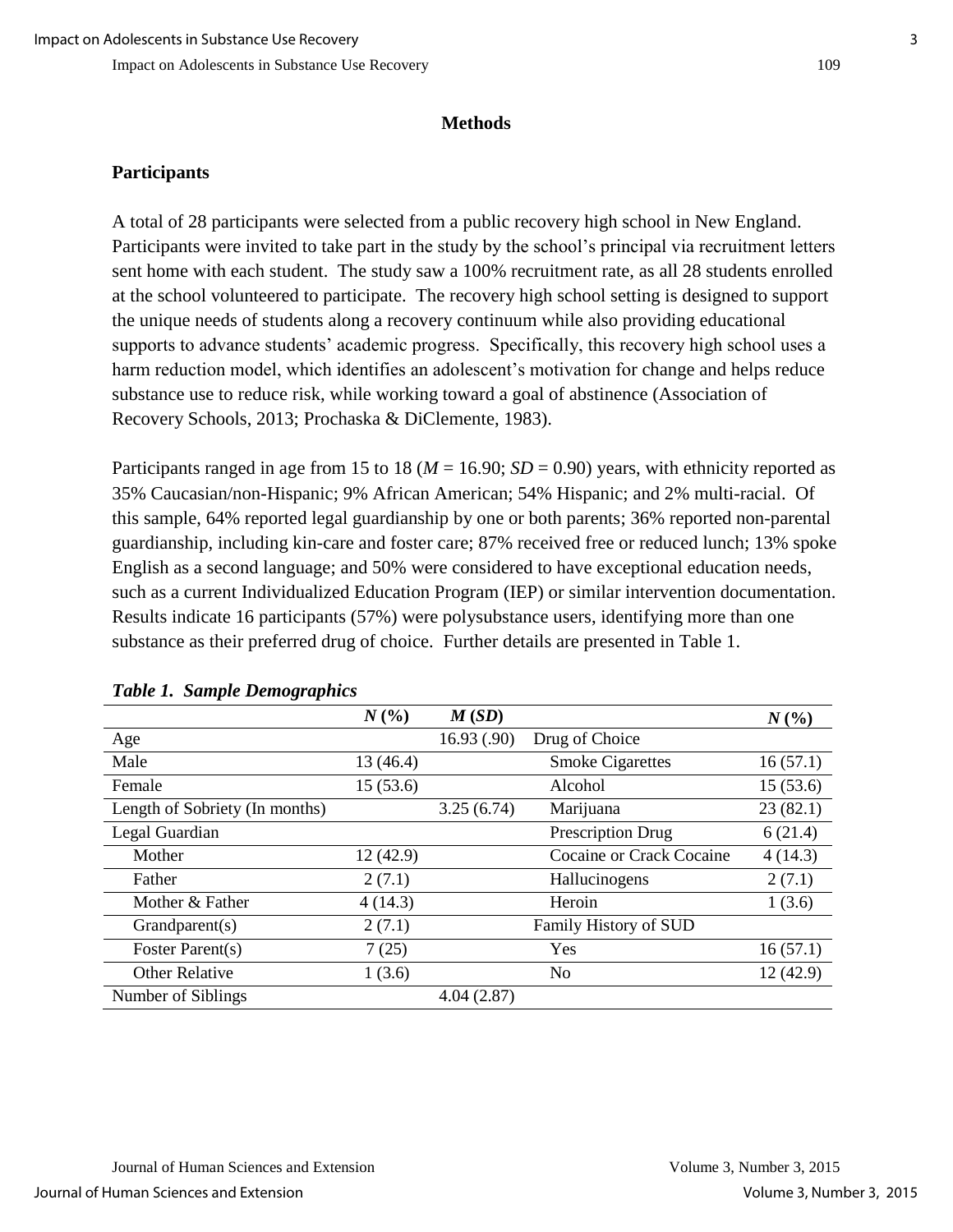#### **Methods**

### **Participants**

A total of 28 participants were selected from a public recovery high school in New England. Participants were invited to take part in the study by the school's principal via recruitment letters sent home with each student. The study saw a 100% recruitment rate, as all 28 students enrolled at the school volunteered to participate. The recovery high school setting is designed to support the unique needs of students along a recovery continuum while also providing educational supports to advance students' academic progress. Specifically, this recovery high school uses a harm reduction model, which identifies an adolescent's motivation for change and helps reduce substance use to reduce risk, while working toward a goal of abstinence (Association of Recovery Schools, 2013; Prochaska & DiClemente, 1983).

Participants ranged in age from 15 to 18 (*M* = 16.90; *SD* = 0.90) years, with ethnicity reported as 35% Caucasian/non-Hispanic; 9% African American; 54% Hispanic; and 2% multi-racial. Of this sample, 64% reported legal guardianship by one or both parents; 36% reported non-parental guardianship, including kin-care and foster care; 87% received free or reduced lunch; 13% spoke English as a second language; and 50% were considered to have exceptional education needs, such as a current Individualized Education Program (IEP) or similar intervention documentation. Results indicate 16 participants (57%) were polysubstance users, identifying more than one substance as their preferred drug of choice. Further details are presented in Table 1.

|                                | N(%)      | M(SD)       |                          | $N($ %)  |
|--------------------------------|-----------|-------------|--------------------------|----------|
| Age                            |           | 16.93(0.90) | Drug of Choice           |          |
| Male                           | 13 (46.4) |             | <b>Smoke Cigarettes</b>  | 16(57.1) |
| Female                         | 15(53.6)  |             | Alcohol                  | 15(53.6) |
| Length of Sobriety (In months) |           | 3.25(6.74)  | Marijuana                | 23(82.1) |
| Legal Guardian                 |           |             | Prescription Drug        | 6(21.4)  |
| Mother                         | 12 (42.9) |             | Cocaine or Crack Cocaine | 4(14.3)  |
| Father                         | 2(7.1)    |             | Hallucinogens            | 2(7.1)   |
| Mother & Father                | 4(14.3)   |             | Heroin                   | 1(3.6)   |
| Grandparent(s)                 | 2(7.1)    |             | Family History of SUD    |          |
| Foster Parent(s)               | 7(25)     |             | Yes                      | 16(57.1) |
| <b>Other Relative</b>          | 1(3.6)    |             | N <sub>0</sub>           | 12(42.9) |
| Number of Siblings             |           | 4.04(2.87)  |                          |          |

#### *Table 1. Sample Demographics*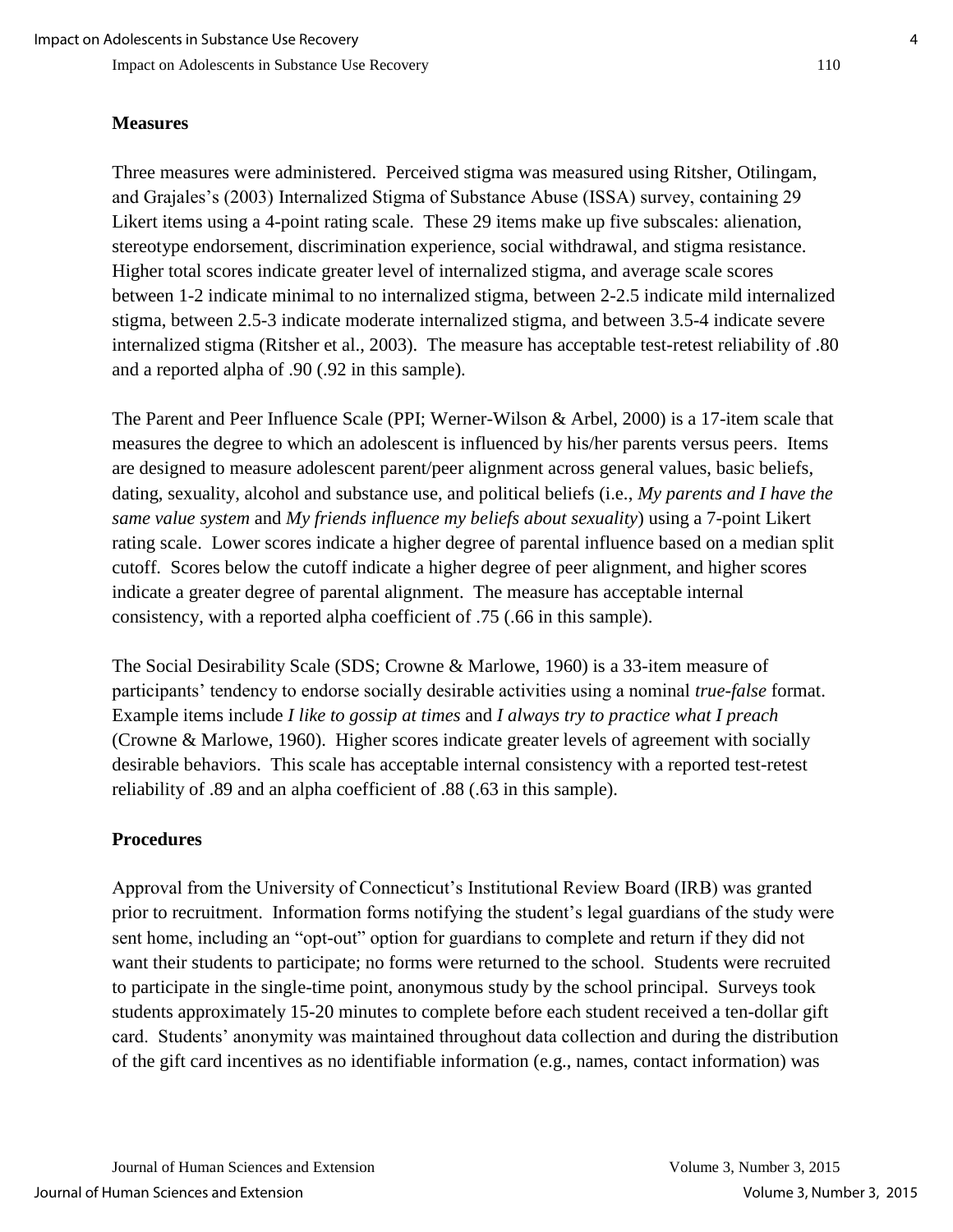Impact on Adolescents in Substance Use Recovery 110

#### **Measures**

Three measures were administered. Perceived stigma was measured using Ritsher, Otilingam, and Grajales's (2003) Internalized Stigma of Substance Abuse (ISSA) survey, containing 29 Likert items using a 4-point rating scale. These 29 items make up five subscales: alienation, stereotype endorsement, discrimination experience, social withdrawal, and stigma resistance. Higher total scores indicate greater level of internalized stigma, and average scale scores between 1-2 indicate minimal to no internalized stigma, between 2-2.5 indicate mild internalized stigma, between 2.5-3 indicate moderate internalized stigma, and between 3.5-4 indicate severe internalized stigma (Ritsher et al., 2003). The measure has acceptable test-retest reliability of .80 and a reported alpha of .90 (.92 in this sample).

The Parent and Peer Influence Scale (PPI; Werner-Wilson & Arbel, 2000) is a 17-item scale that measures the degree to which an adolescent is influenced by his/her parents versus peers. Items are designed to measure adolescent parent/peer alignment across general values, basic beliefs, dating, sexuality, alcohol and substance use, and political beliefs (i.e., *My parents and I have the same value system* and *My friends influence my beliefs about sexuality*) using a 7-point Likert rating scale. Lower scores indicate a higher degree of parental influence based on a median split cutoff. Scores below the cutoff indicate a higher degree of peer alignment, and higher scores indicate a greater degree of parental alignment. The measure has acceptable internal consistency, with a reported alpha coefficient of .75 (.66 in this sample).

The Social Desirability Scale (SDS; Crowne & Marlowe, 1960) is a 33-item measure of participants' tendency to endorse socially desirable activities using a nominal *true-false* format. Example items include *I like to gossip at times* and *I always try to practice what I preach* (Crowne & Marlowe, 1960). Higher scores indicate greater levels of agreement with socially desirable behaviors. This scale has acceptable internal consistency with a reported test-retest reliability of .89 and an alpha coefficient of .88 (.63 in this sample).

### **Procedures**

Approval from the University of Connecticut's Institutional Review Board (IRB) was granted prior to recruitment. Information forms notifying the student's legal guardians of the study were sent home, including an "opt-out" option for guardians to complete and return if they did not want their students to participate; no forms were returned to the school. Students were recruited to participate in the single-time point, anonymous study by the school principal. Surveys took students approximately 15-20 minutes to complete before each student received a ten-dollar gift card. Students' anonymity was maintained throughout data collection and during the distribution of the gift card incentives as no identifiable information (e.g., names, contact information) was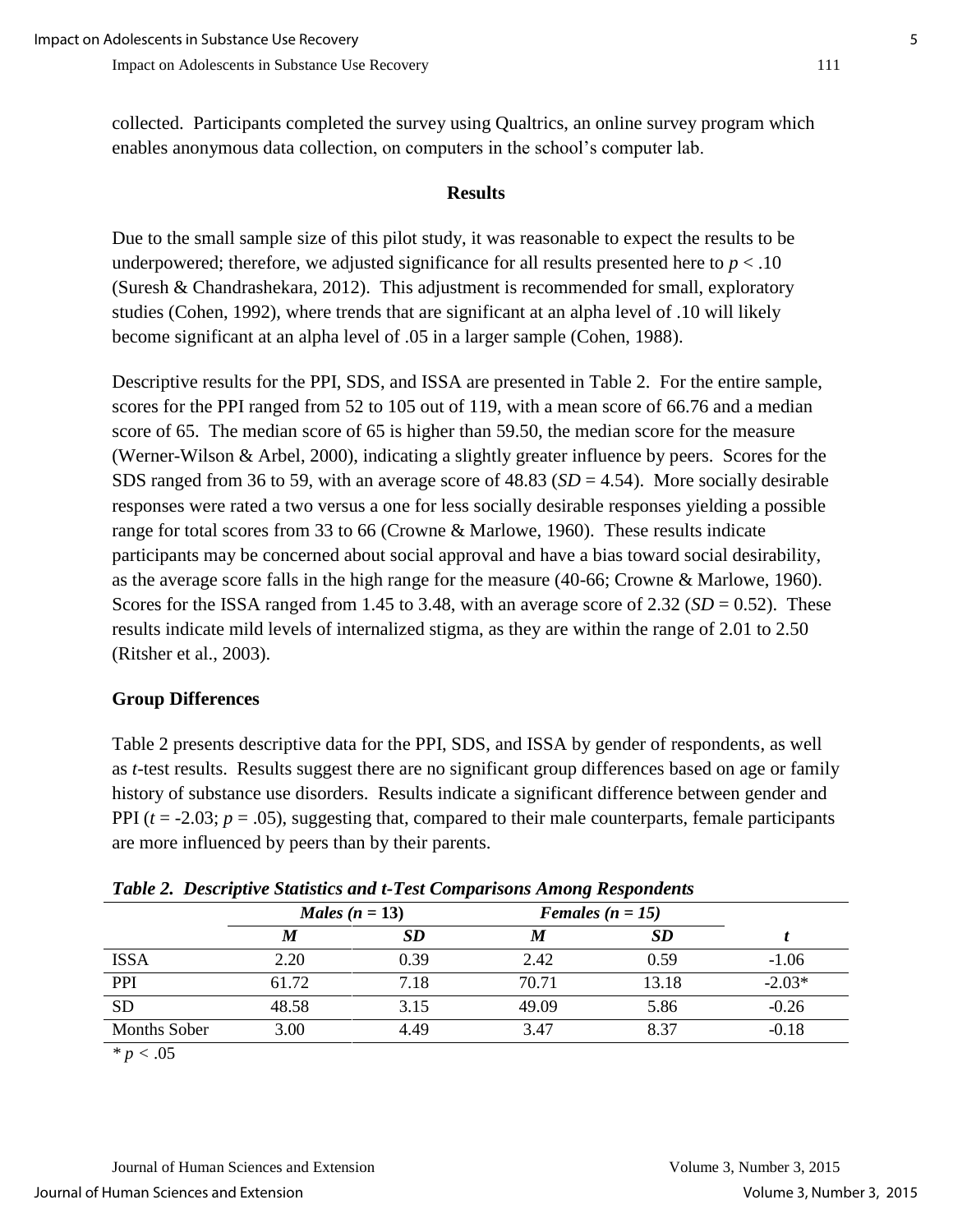collected. Participants completed the survey using Qualtrics, an online survey program which enables anonymous data collection, on computers in the school's computer lab.

#### **Results**

Due to the small sample size of this pilot study, it was reasonable to expect the results to be underpowered; therefore, we adjusted significance for all results presented here to *p* < .10 (Suresh & Chandrashekara, 2012). This adjustment is recommended for small, exploratory studies (Cohen, 1992), where trends that are significant at an alpha level of .10 will likely become significant at an alpha level of .05 in a larger sample (Cohen, 1988).

Descriptive results for the PPI, SDS, and ISSA are presented in Table 2. For the entire sample, scores for the PPI ranged from 52 to 105 out of 119, with a mean score of 66.76 and a median score of 65. The median score of 65 is higher than 59.50, the median score for the measure (Werner-Wilson & Arbel, 2000), indicating a slightly greater influence by peers. Scores for the SDS ranged from 36 to 59, with an average score of 48.83 (*SD* = 4.54). More socially desirable responses were rated a two versus a one for less socially desirable responses yielding a possible range for total scores from 33 to 66 (Crowne & Marlowe, 1960). These results indicate participants may be concerned about social approval and have a bias toward social desirability, as the average score falls in the high range for the measure (40-66; Crowne & Marlowe, 1960). Scores for the ISSA ranged from 1.45 to 3.48, with an average score of  $2.32$  (*SD* = 0.52). These results indicate mild levels of internalized stigma, as they are within the range of 2.01 to 2.50 (Ritsher et al., 2003).

## **Group Differences**

Table 2 presents descriptive data for the PPI, SDS, and ISSA by gender of respondents, as well as *t-*test results. Results suggest there are no significant group differences based on age or family history of substance use disorders. Results indicate a significant difference between gender and PPI  $(t = -2.03; p = .05)$ , suggesting that, compared to their male counterparts, female participants are more influenced by peers than by their parents.

| Twore <b>E</b> Descriptive Statistics and I Test Comparisons Throng Itespondents |                  |      |                    |       |          |  |
|----------------------------------------------------------------------------------|------------------|------|--------------------|-------|----------|--|
|                                                                                  | Males $(n = 13)$ |      | Females $(n = 15)$ |       |          |  |
|                                                                                  | M                | SD   | M                  | SD    |          |  |
| <b>ISSA</b>                                                                      | 2.20             | 0.39 | 2.42               | 0.59  | $-1.06$  |  |
| PPI                                                                              | 61.72            | 7.18 | 70.71              | 13.18 | $-2.03*$ |  |
| <b>SD</b>                                                                        | 48.58            | 3.15 | 49.09              | 5.86  | $-0.26$  |  |
| <b>Months Sober</b>                                                              | 3.00             | 4.49 | 3.47               | 8.37  | $-0.18$  |  |

*Table 2. Descriptive Statistics and t-Test Comparisons Among Respondents*

*\* p <* .05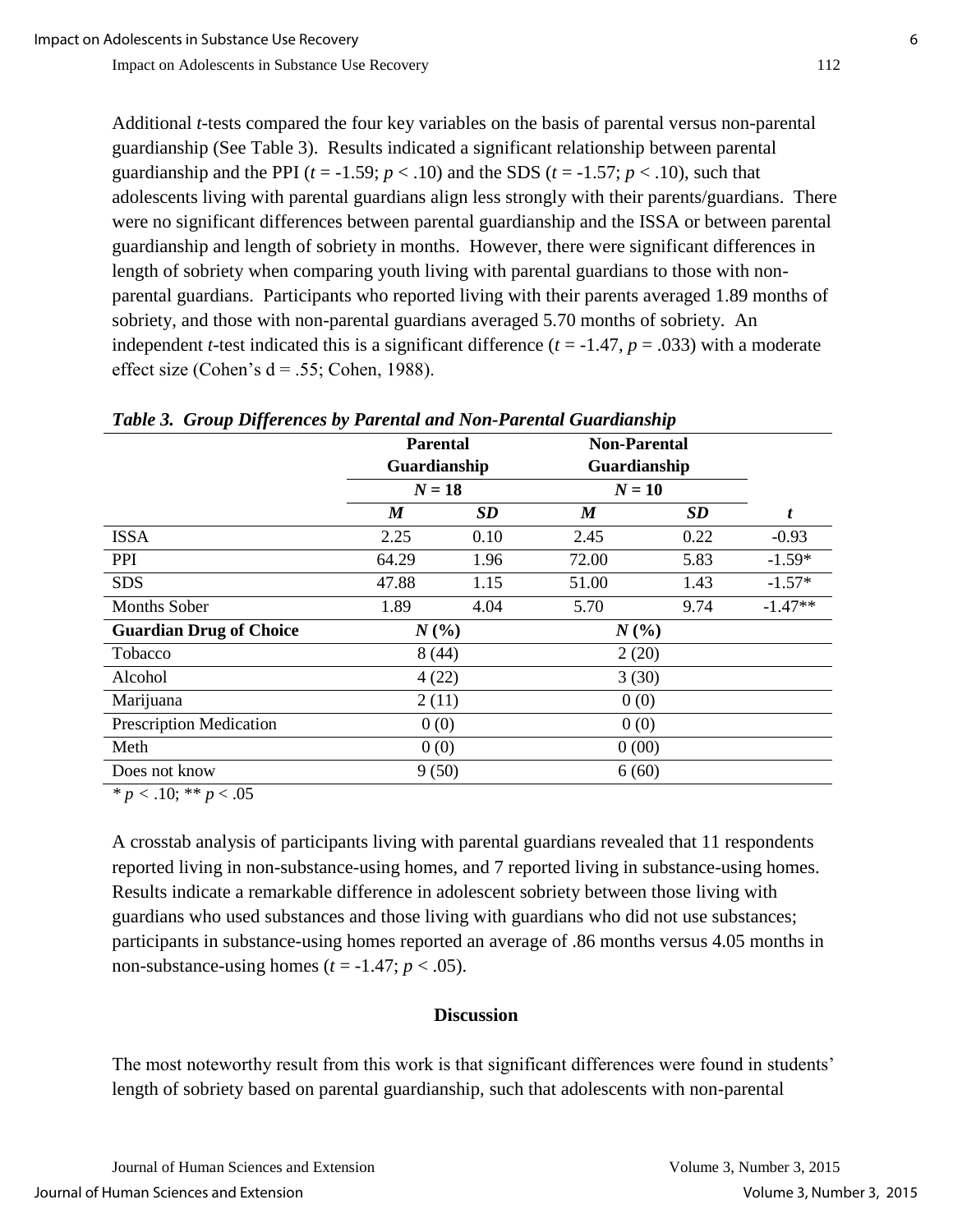Additional *t*-tests compared the four key variables on the basis of parental versus non-parental guardianship (See Table 3). Results indicated a significant relationship between parental guardianship and the PPI  $(t = -1.59; p < .10)$  and the SDS  $(t = -1.57; p < .10)$ , such that adolescents living with parental guardians align less strongly with their parents/guardians. There were no significant differences between parental guardianship and the ISSA or between parental guardianship and length of sobriety in months. However, there were significant differences in length of sobriety when comparing youth living with parental guardians to those with nonparental guardians. Participants who reported living with their parents averaged 1.89 months of sobriety, and those with non-parental guardians averaged 5.70 months of sobriety. An independent *t*-test indicated this is a significant difference  $(t = -1.47, p = .033)$  with a moderate effect size (Cohen's  $d = .55$ ; Cohen, 1988).

| Table 5. Group Differences by Farental and Non-Farental Guardianship |                                             |      |                                                 |           |           |  |  |
|----------------------------------------------------------------------|---------------------------------------------|------|-------------------------------------------------|-----------|-----------|--|--|
|                                                                      | <b>Parental</b><br>Guardianship<br>$N = 18$ |      | <b>Non-Parental</b><br>Guardianship<br>$N = 10$ |           |           |  |  |
|                                                                      |                                             |      |                                                 |           |           |  |  |
|                                                                      |                                             |      |                                                 |           |           |  |  |
|                                                                      | M                                           | SD   | $\boldsymbol{M}$                                | <b>SD</b> | t         |  |  |
| <b>ISSA</b>                                                          | 2.25                                        | 0.10 | 2.45                                            | 0.22      | $-0.93$   |  |  |
| PPI                                                                  | 64.29                                       | 1.96 | 72.00                                           | 5.83      | $-1.59*$  |  |  |
| <b>SDS</b>                                                           | 47.88                                       | 1.15 | 51.00                                           | 1.43      | $-1.57*$  |  |  |
| <b>Months Sober</b>                                                  | 1.89                                        | 4.04 | 5.70                                            | 9.74      | $-1.47**$ |  |  |
| <b>Guardian Drug of Choice</b>                                       | $N($ % $)$                                  |      | N(%                                             |           |           |  |  |
| Tobacco                                                              | 8(44)                                       |      | 2(20)                                           |           |           |  |  |
| Alcohol                                                              | 4(22)                                       |      | 3(30)                                           |           |           |  |  |
| Marijuana                                                            | 2(11)                                       |      | 0(0)                                            |           |           |  |  |
| <b>Prescription Medication</b>                                       | 0(0)                                        |      | 0(0)                                            |           |           |  |  |
| Meth                                                                 | 0(0)                                        |      | 0(00)                                           |           |           |  |  |
| Does not know                                                        | 9(50)                                       |      | 6(60)                                           |           |           |  |  |

*Table 3. Group Differences by Parental and Non-Parental Guardianship*

 $\overline{\ast p}$  < .10;  $\overline{\ast p}$  < .05

A crosstab analysis of participants living with parental guardians revealed that 11 respondents reported living in non-substance-using homes, and 7 reported living in substance-using homes. Results indicate a remarkable difference in adolescent sobriety between those living with guardians who used substances and those living with guardians who did not use substances; participants in substance-using homes reported an average of .86 months versus 4.05 months in non-substance-using homes  $(t = -1.47; p < .05)$ .

## **Discussion**

The most noteworthy result from this work is that significant differences were found in students' length of sobriety based on parental guardianship, such that adolescents with non-parental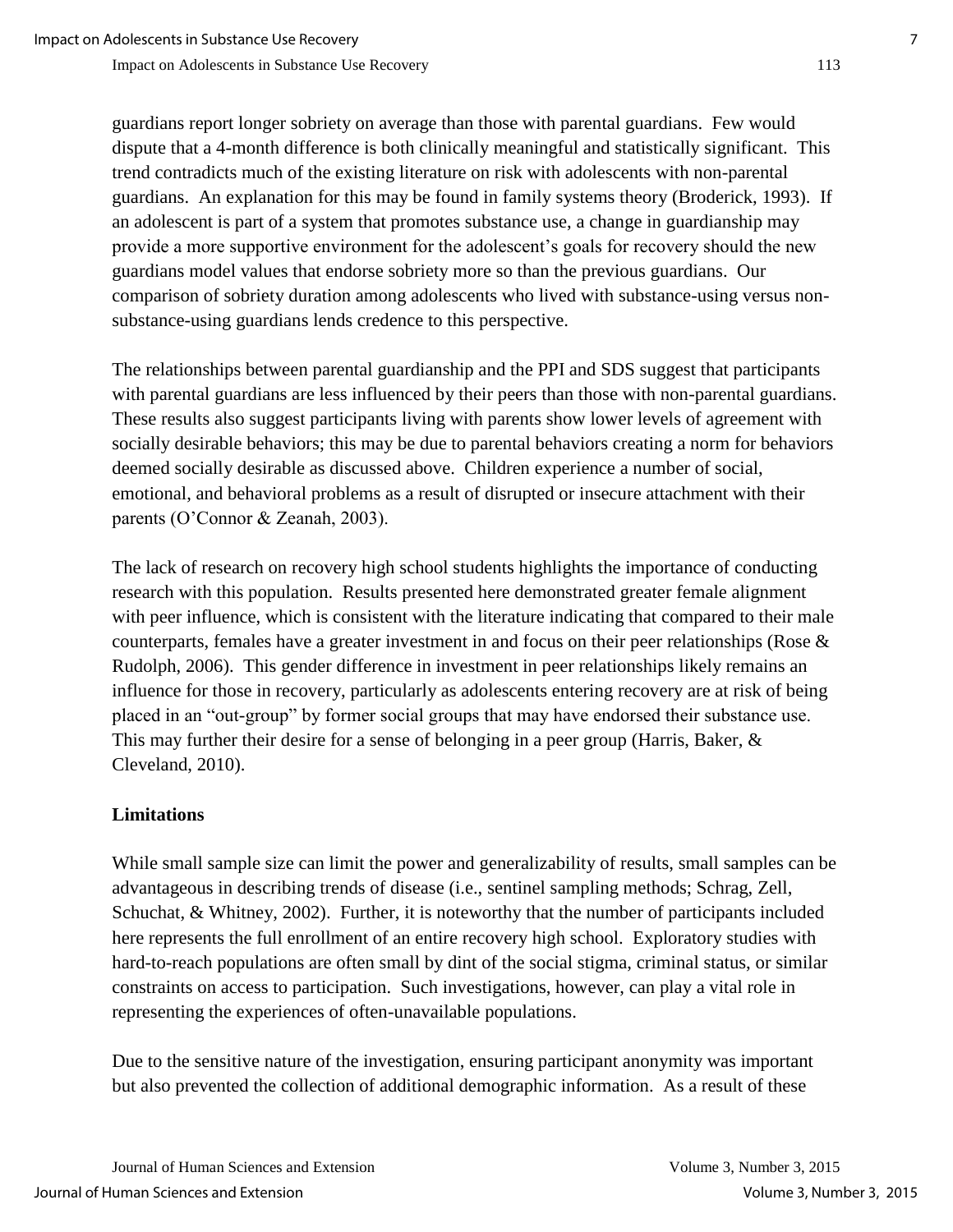guardians report longer sobriety on average than those with parental guardians. Few would dispute that a 4-month difference is both clinically meaningful and statistically significant. This trend contradicts much of the existing literature on risk with adolescents with non-parental guardians. An explanation for this may be found in family systems theory (Broderick, 1993). If an adolescent is part of a system that promotes substance use, a change in guardianship may provide a more supportive environment for the adolescent's goals for recovery should the new guardians model values that endorse sobriety more so than the previous guardians. Our comparison of sobriety duration among adolescents who lived with substance-using versus nonsubstance-using guardians lends credence to this perspective.

The relationships between parental guardianship and the PPI and SDS suggest that participants with parental guardians are less influenced by their peers than those with non-parental guardians. These results also suggest participants living with parents show lower levels of agreement with socially desirable behaviors; this may be due to parental behaviors creating a norm for behaviors deemed socially desirable as discussed above. Children experience a number of social, emotional, and behavioral problems as a result of disrupted or insecure attachment with their parents (O'Connor & Zeanah, 2003).

The lack of research on recovery high school students highlights the importance of conducting research with this population. Results presented here demonstrated greater female alignment with peer influence, which is consistent with the literature indicating that compared to their male counterparts, females have a greater investment in and focus on their peer relationships (Rose & Rudolph, 2006). This gender difference in investment in peer relationships likely remains an influence for those in recovery, particularly as adolescents entering recovery are at risk of being placed in an "out-group" by former social groups that may have endorsed their substance use. This may further their desire for a sense of belonging in a peer group (Harris, Baker, & Cleveland, 2010).

## **Limitations**

While small sample size can limit the power and generalizability of results, small samples can be advantageous in describing trends of disease (i.e., sentinel sampling methods; Schrag, Zell, Schuchat, & Whitney, 2002). Further, it is noteworthy that the number of participants included here represents the full enrollment of an entire recovery high school. Exploratory studies with hard-to-reach populations are often small by dint of the social stigma, criminal status, or similar constraints on access to participation. Such investigations, however, can play a vital role in representing the experiences of often-unavailable populations.

Due to the sensitive nature of the investigation, ensuring participant anonymity was important but also prevented the collection of additional demographic information. As a result of these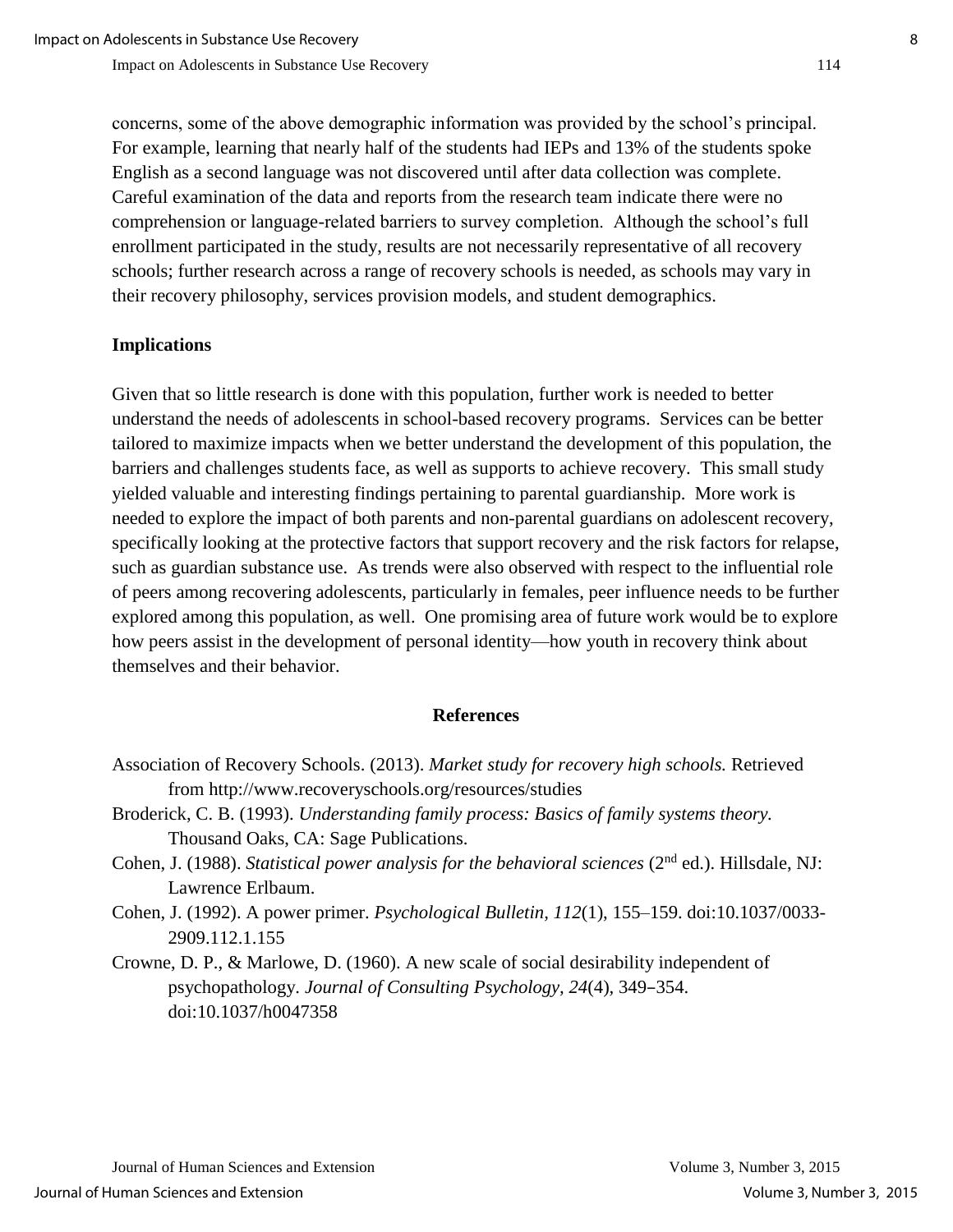concerns, some of the above demographic information was provided by the school's principal. For example, learning that nearly half of the students had IEPs and 13% of the students spoke English as a second language was not discovered until after data collection was complete. Careful examination of the data and reports from the research team indicate there were no comprehension or language-related barriers to survey completion. Although the school's full enrollment participated in the study, results are not necessarily representative of all recovery schools; further research across a range of recovery schools is needed, as schools may vary in their recovery philosophy, services provision models, and student demographics.

### **Implications**

Given that so little research is done with this population, further work is needed to better understand the needs of adolescents in school-based recovery programs. Services can be better tailored to maximize impacts when we better understand the development of this population, the barriers and challenges students face, as well as supports to achieve recovery. This small study yielded valuable and interesting findings pertaining to parental guardianship. More work is needed to explore the impact of both parents and non-parental guardians on adolescent recovery, specifically looking at the protective factors that support recovery and the risk factors for relapse, such as guardian substance use. As trends were also observed with respect to the influential role of peers among recovering adolescents, particularly in females, peer influence needs to be further explored among this population, as well. One promising area of future work would be to explore how peers assist in the development of personal identity—how youth in recovery think about themselves and their behavior.

#### **References**

- Association of Recovery Schools. (2013). *Market study for recovery high schools.* Retrieved from http://www.recoveryschools.org/resources/studies
- Broderick, C. B. (1993). *Understanding family process: Basics of family systems theory.*  Thousand Oaks, CA: Sage Publications.
- Cohen, J. (1988). *Statistical power analysis for the behavioral sciences* (2<sup>nd</sup> ed.). Hillsdale, NJ: Lawrence Erlbaum.
- Cohen, J. (1992). A power primer. *Psychological Bulletin, 112*(1), 155–159. doi:10.1037/0033- 2909.112.1.155
- Crowne, D. P., & Marlowe, D. (1960). A new scale of social desirability independent of psychopathology. *Journal of Consulting Psychology, 24*(4)*,* 349–354. doi:10.1037/h0047358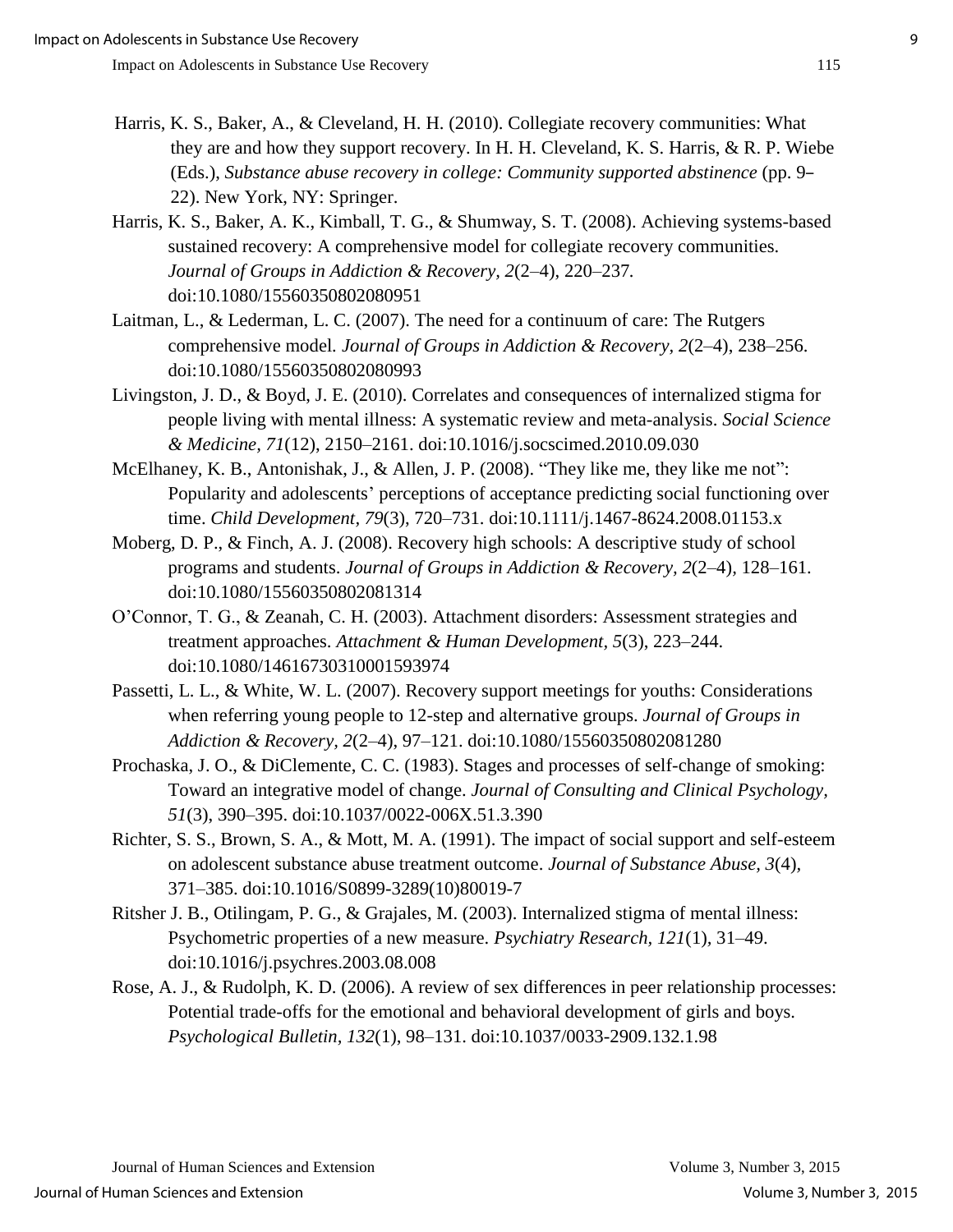- Harris, K. S., Baker, A., & Cleveland, H. H. (2010). Collegiate recovery communities: What they are and how they support recovery. In H. H. Cleveland, K. S. Harris, & R. P. Wiebe (Eds.), *Substance abuse recovery in college: Community supported abstinence* (pp. 9– 22). New York, NY: Springer.
- Harris, K. S., Baker, A. K., Kimball, T. G., & Shumway, S. T. (2008). Achieving systems-based sustained recovery: A comprehensive model for collegiate recovery communities. *Journal of Groups in Addiction & Recovery, 2*(2–4), 220–237*.* doi:10.1080/15560350802080951
- Laitman, L., & Lederman, L. C. (2007). The need for a continuum of care: The Rutgers comprehensive model*. Journal of Groups in Addiction & Recovery, 2*(2–4), 238–256. doi:10.1080/15560350802080993
- Livingston, J. D., & Boyd, J. E. (2010). Correlates and consequences of internalized stigma for people living with mental illness: A systematic review and meta-analysis. *Social Science & Medicine, 71*(12), 2150–2161. doi:10.1016/j.socscimed.2010.09.030
- McElhaney, K. B., Antonishak, J., & Allen, J. P. (2008). "They like me, they like me not": Popularity and adolescents' perceptions of acceptance predicting social functioning over time. *Child Development, 79*(3), 720–731. doi:10.1111/j.1467-8624.2008.01153.x
- Moberg, D. P., & Finch, A. J. (2008). Recovery high schools: A descriptive study of school programs and students. *Journal of Groups in Addiction & Recovery, 2*(2–4)*,* 128–161. doi:10.1080/15560350802081314
- O'Connor, T. G., & Zeanah, C. H. (2003). Attachment disorders: Assessment strategies and treatment approaches. *Attachment & Human Development, 5*(3), 223–244. doi:10.1080/14616730310001593974
- Passetti, L. L., & White, W. L. (2007). Recovery support meetings for youths: Considerations when referring young people to 12-step and alternative groups. *Journal of Groups in Addiction & Recovery, 2*(2–4), 97–121. doi:10.1080/15560350802081280
- Prochaska, J. O., & DiClemente, C. C. (1983). Stages and processes of self-change of smoking: Toward an integrative model of change. *Journal of Consulting and Clinical Psychology, 51*(3), 390–395. doi:10.1037/0022-006X.51.3.390
- Richter, S. S., Brown, S. A., & Mott, M. A. (1991). The impact of social support and self-esteem on adolescent substance abuse treatment outcome. *Journal of Substance Abuse, 3*(4)*,*  371–385. doi:10.1016/S0899-3289(10)80019-7
- Ritsher J. B., Otilingam, P. G., & Grajales, M. (2003). Internalized stigma of mental illness: Psychometric properties of a new measure. *Psychiatry Research, 121*(1)*,* 31–49. doi:10.1016/j.psychres.2003.08.008
- Rose, A. J., & Rudolph, K. D. (2006). A review of sex differences in peer relationship processes: Potential trade-offs for the emotional and behavioral development of girls and boys. *Psychological Bulletin, 132*(1), 98–131. doi:10.1037/0033-2909.132.1.98